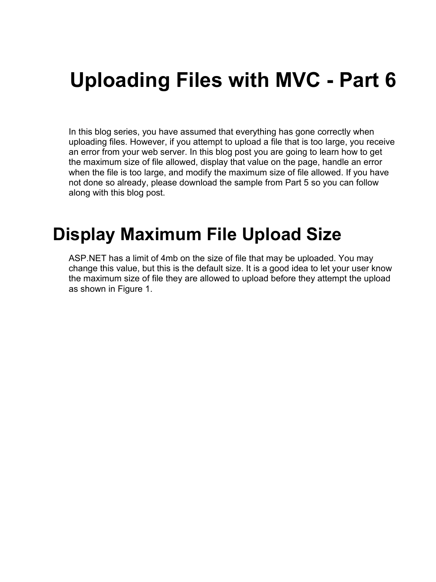# **Uploading Files with MVC - Part 6**

In this blog series, you have assumed that everything has gone correctly when uploading files. However, if you attempt to upload a file that is too large, you receive an error from your web server. In this blog post you are going to learn how to get the maximum size of file allowed, display that value on the page, handle an error when the file is too large, and modify the maximum size of file allowed. If you have not done so already, please download the sample from Part 5 so you can follow along with this blog post.

### **Display Maximum File Upload Size**

ASP.NET has a limit of 4mb on the size of file that may be uploaded. You may change this value, but this is the default size. It is a good idea to let your user know the maximum size of file they are allowed to upload before they attempt the upload as shown in Figure 1.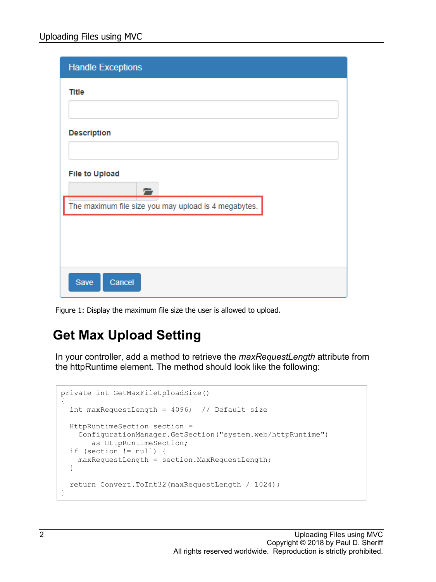| <b>Handle Exceptions</b>                             |
|------------------------------------------------------|
| <b>Title</b>                                         |
|                                                      |
| <b>Description</b>                                   |
|                                                      |
| <b>File to Upload</b>                                |
| The maximum file size you may upload is 4 megabytes. |
|                                                      |
|                                                      |
|                                                      |
| Cancel<br>Save                                       |

Figure 1: Display the maximum file size the user is allowed to upload.

#### **Get Max Upload Setting**

In your controller, add a method to retrieve the *maxRequestLength* attribute from the httpRuntime element. The method should look like the following:

```
private int GetMaxFileUploadSize()
{
  int maxRequestLength = 4096; // Default size
  HttpRuntimeSection section =
    ConfigurationManager.GetSection("system.web/httpRuntime") 
       as HttpRuntimeSection;
   if (section != null) {
    maxRequestLength = section.MaxRequestLength;
   }
   return Convert.ToInt32(maxRequestLength / 1024);
}
```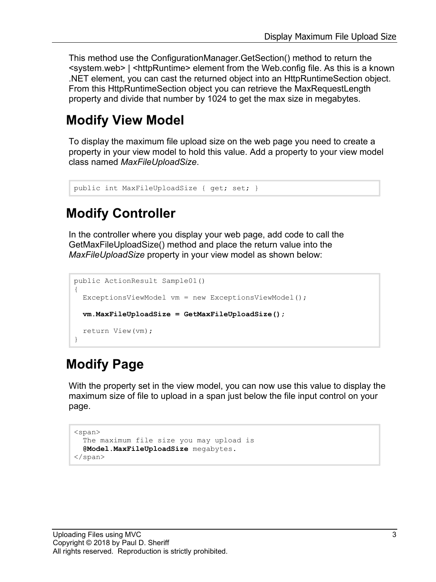This method use the ConfigurationManager.GetSection() method to return the <system.web> | <httpRuntime> element from the Web.config file. As this is a known .NET element, you can cast the returned object into an HttpRuntimeSection object. From this HttpRuntimeSection object you can retrieve the MaxRequestLength property and divide that number by 1024 to get the max size in megabytes.

#### **Modify View Model**

To display the maximum file upload size on the web page you need to create a property in your view model to hold this value. Add a property to your view model class named *MaxFileUploadSize*.

```
public int MaxFileUploadSize { get; set; }
```
#### **Modify Controller**

In the controller where you display your web page, add code to call the GetMaxFileUploadSize() method and place the return value into the *MaxFileUploadSize* property in your view model as shown below:

```
public ActionResult Sample01()
{
  ExceptionsViewModel vm = new ExceptionsViewModel();
   vm.MaxFileUploadSize = GetMaxFileUploadSize();
  return View(vm);
}
```
#### **Modify Page**

With the property set in the view model, you can now use this value to display the maximum size of file to upload in a span just below the file input control on your page.

```
<span>
  The maximum file size you may upload is
 @Model.MaxFileUploadSize megabytes.
</span>
```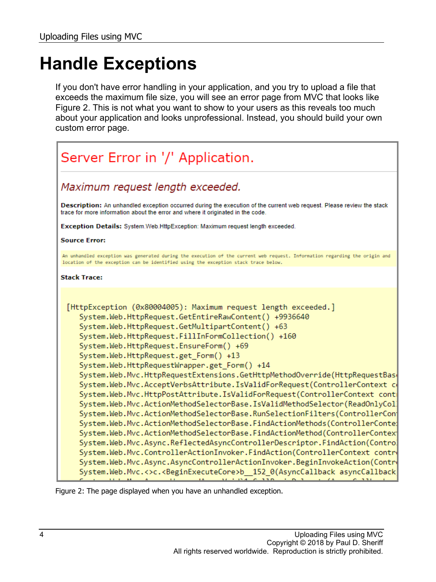## **Handle Exceptions**

If you don't have error handling in your application, and you try to upload a file that exceeds the maximum file size, you will see an error page from MVC that looks like Figure 2. This is not what you want to show to your users as this reveals too much about your application and looks unprofessional. Instead, you should build your own custom error page.



Figure 2: The page displayed when you have an unhandled exception.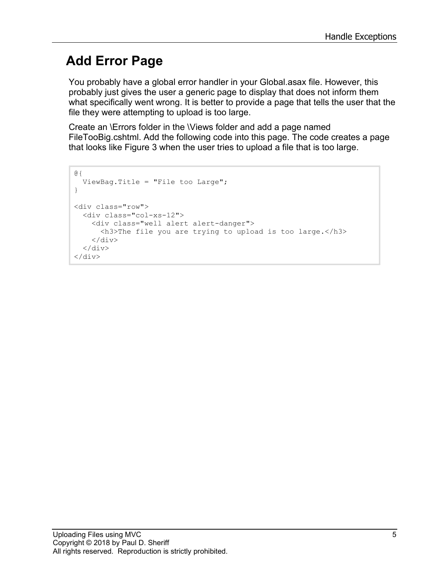#### **Add Error Page**

You probably have a global error handler in your Global.asax file. However, this probably just gives the user a generic page to display that does not inform them what specifically went wrong. It is better to provide a page that tells the user that the file they were attempting to upload is too large.

Create an \Errors folder in the \Views folder and add a page named FileTooBig.cshtml. Add the following code into this page. The code creates a page that looks like Figure 3 when the user tries to upload a file that is too large.

```
@{
   ViewBag.Title = "File too Large";
}
<div class="row">
   <div class="col-xs-12">
     <div class="well alert alert-danger">
       <h3>The file you are trying to upload is too large.</h3>
    \langlediv\rangle\langle div>
\langle/div\rangle
```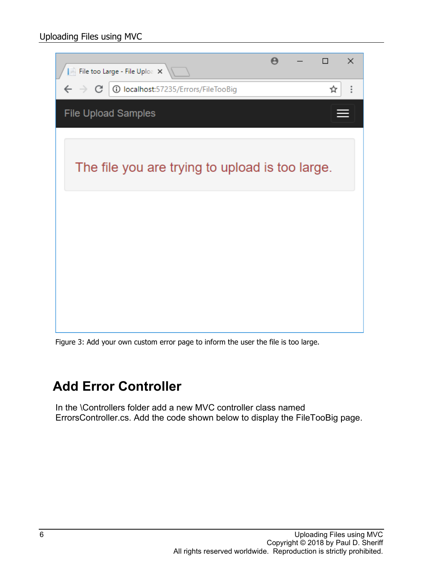

Figure 3: Add your own custom error page to inform the user the file is too large.

#### **Add Error Controller**

In the \Controllers folder add a new MVC controller class named ErrorsController.cs. Add the code shown below to display the FileTooBig page.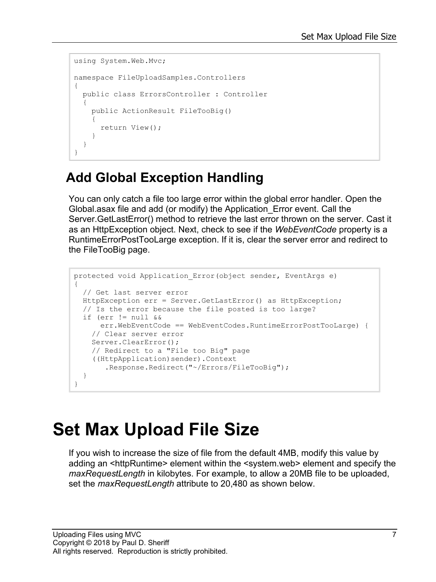```
using System.Web.Mvc;
namespace FileUploadSamples.Controllers
{
   public class ErrorsController : Controller
   {
      public ActionResult FileTooBig()
\left\{\begin{array}{ccc} \end{array}\right\} return View();
 }
   }
}
```
#### **Add Global Exception Handling**

You can only catch a file too large error within the global error handler. Open the Global.asax file and add (or modify) the Application\_Error event. Call the Server.GetLastError() method to retrieve the last error thrown on the server. Cast it as an HttpException object. Next, check to see if the *WebEventCode* property is a RuntimeErrorPostTooLarge exception. If it is, clear the server error and redirect to the FileTooBig page.

```
protected void Application_Error(object sender, EventArgs e)
{
  // Get last server error
  HttpException err = Server.GetLastError() as HttpException;
  // Is the error because the file posted is too large?
   if (err != null &&
       err.WebEventCode == WebEventCodes.RuntimeErrorPostTooLarge) {
    // Clear server error
    Server.ClearError();
    // Redirect to a "File too Big" page
     ((HttpApplication)sender).Context
        .Response.Redirect("~/Errors/FileTooBig");
   }
}
```
### **Set Max Upload File Size**

If you wish to increase the size of file from the default 4MB, modify this value by adding an <httpRuntime> element within the <system.web> element and specify the *maxRequestLength* in kilobytes. For example, to allow a 20MB file to be uploaded, set the *maxRequestLength* attribute to 20,480 as shown below.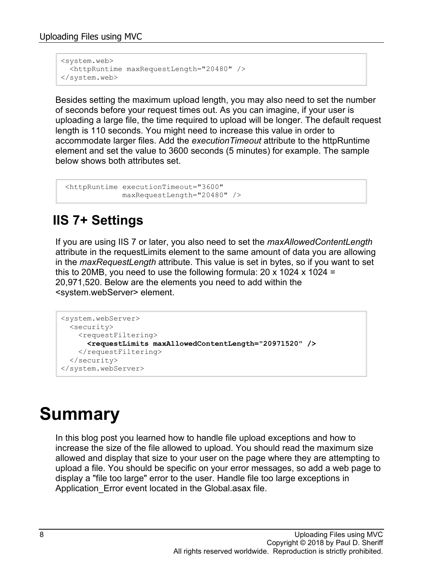```
<system.web>
  <httpRuntime maxRequestLength="20480" />
</system.web>
```
Besides setting the maximum upload length, you may also need to set the number of seconds before your request times out. As you can imagine, if your user is uploading a large file, the time required to upload will be longer. The default request length is 110 seconds. You might need to increase this value in order to accommodate larger files. Add the *executionTimeout* attribute to the httpRuntime element and set the value to 3600 seconds (5 minutes) for example. The sample below shows both attributes set.

```
<httpRuntime executionTimeout="3600" 
              maxRequestLength="20480" />
```
#### **IIS 7+ Settings**

If you are using IIS 7 or later, you also need to set the *maxAllowedContentLength* attribute in the requestLimits element to the same amount of data you are allowing in the *maxRequestLength* attribute. This value is set in bytes, so if you want to set this to 20MB, you need to use the following formula:  $20 \times 1024 \times 1024 =$ 20,971,520. Below are the elements you need to add within the <system.webServer> element.

```
<system.webServer>
  <security>
   <requestFiltering>
      <requestLimits maxAllowedContentLength="20971520" />
    </requestFiltering>
  </security>
</system.webServer>
```
## **Summary**

In this blog post you learned how to handle file upload exceptions and how to increase the size of the file allowed to upload. You should read the maximum size allowed and display that size to your user on the page where they are attempting to upload a file. You should be specific on your error messages, so add a web page to display a "file too large" error to the user. Handle file too large exceptions in Application Error event located in the Global.asax file.